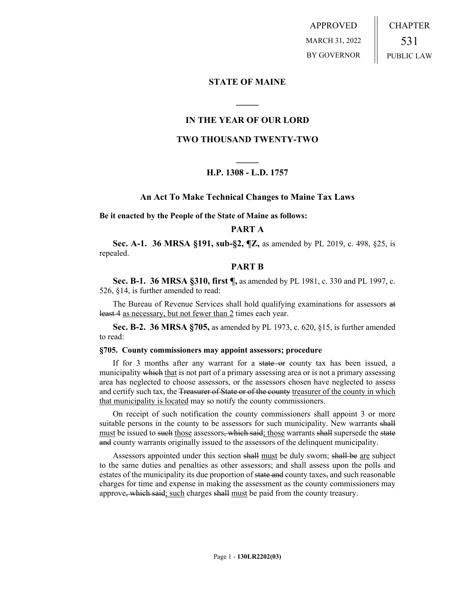APPROVED MARCH 31, 2022 BY GOVERNOR CHAPTER 531 PUBLIC LAW

### **STATE OF MAINE**

## **IN THE YEAR OF OUR LORD**

**\_\_\_\_\_**

### **TWO THOUSAND TWENTY-TWO**

# **\_\_\_\_\_ H.P. 1308 - L.D. 1757**

#### **An Act To Make Technical Changes to Maine Tax Laws**

#### **Be it enacted by the People of the State of Maine as follows:**

# **PART A**

**Sec. A-1. 36 MRSA §191, sub-§2, ¶Z,** as amended by PL 2019, c. 498, §25, is repealed.

# **PART B**

**Sec. B-1. 36 MRSA §310, first ¶,** as amended by PL 1981, c. 330 and PL 1997, c. 526, §14, is further amended to read:

The Bureau of Revenue Services shall hold qualifying examinations for assessors at least 4 as necessary, but not fewer than 2 times each year.

**Sec. B-2. 36 MRSA §705,** as amended by PL 1973, c. 620, §15, is further amended to read:

#### **§705. County commissioners may appoint assessors; procedure**

If for 3 months after any warrant for a state or county tax has been issued, a municipality which that is not part of a primary assessing area or is not a primary assessing area has neglected to choose assessors, or the assessors chosen have neglected to assess and certify such tax, the <del>Treasurer of State or of the county</del> treasurer of the county in which that municipality is located may so notify the county commissioners.

On receipt of such notification the county commissioners shall appoint 3 or more suitable persons in the county to be assessors for such municipality. New warrants shall must be issued to such those assessors, which said; those warrants shall supersede the state and county warrants originally issued to the assessors of the delinquent municipality.

Assessors appointed under this section shall must be duly sworn; shall be are subject to the same duties and penalties as other assessors; and shall assess upon the polls and estates of the municipality its due proportion of state and county taxes, and such reasonable charges for time and expense in making the assessment as the county commissioners may approve, which said; such charges shall must be paid from the county treasury.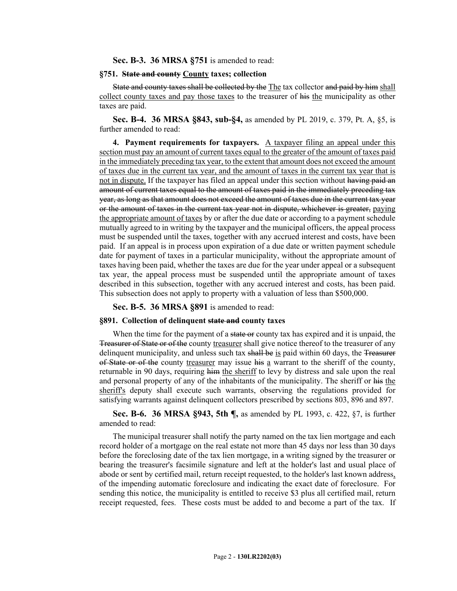**Sec. B-3. 36 MRSA §751** is amended to read:

#### **§751. State and county County taxes; collection**

State and county taxes shall be collected by the The tax collector and paid by him shall collect county taxes and pay those taxes to the treasurer of his the municipality as other taxes are paid.

**Sec. B-4. 36 MRSA §843, sub-§4,** as amended by PL 2019, c. 379, Pt. A, §5, is further amended to read:

**4. Payment requirements for taxpayers.** A taxpayer filing an appeal under this section must pay an amount of current taxes equal to the greater of the amount of taxes paid in the immediately preceding tax year, to the extent that amount does not exceed the amount of taxes due in the current tax year, and the amount of taxes in the current tax year that is not in dispute. If the taxpayer has filed an appeal under this section without having paid an amount of current taxes equal to the amount of taxes paid in the immediately preceding tax year, as long as that amount does not exceed the amount of taxes due in the current tax year or the amount of taxes in the current tax year not in dispute, whichever is greater, paying the appropriate amount of taxes by or after the due date or according to a payment schedule mutually agreed to in writing by the taxpayer and the municipal officers, the appeal process must be suspended until the taxes, together with any accrued interest and costs, have been paid. If an appeal is in process upon expiration of a due date or written payment schedule date for payment of taxes in a particular municipality, without the appropriate amount of taxes having been paid, whether the taxes are due for the year under appeal or a subsequent tax year, the appeal process must be suspended until the appropriate amount of taxes described in this subsection, together with any accrued interest and costs, has been paid. This subsection does not apply to property with a valuation of less than \$500,000.

**Sec. B-5. 36 MRSA §891** is amended to read:

#### **§891. Collection of delinquent state and county taxes**

When the time for the payment of a state or county tax has expired and it is unpaid, the Treasurer of State or of the county treasurer shall give notice thereof to the treasurer of any delinquent municipality, and unless such tax shall be is paid within 60 days, the Treasurer of State or of the county treasurer may issue his a warrant to the sheriff of the county, returnable in 90 days, requiring him the sheriff to levy by distress and sale upon the real and personal property of any of the inhabitants of the municipality. The sheriff or his the sheriff's deputy shall execute such warrants, observing the regulations provided for satisfying warrants against delinquent collectors prescribed by sections 803, 896 and 897.

**Sec. B-6. 36 MRSA §943, 5th ¶,** as amended by PL 1993, c. 422, §7, is further amended to read:

The municipal treasurer shall notify the party named on the tax lien mortgage and each record holder of a mortgage on the real estate not more than 45 days nor less than 30 days before the foreclosing date of the tax lien mortgage, in a writing signed by the treasurer or bearing the treasurer's facsimile signature and left at the holder's last and usual place of abode or sent by certified mail, return receipt requested, to the holder's last known address, of the impending automatic foreclosure and indicating the exact date of foreclosure. For sending this notice, the municipality is entitled to receive \$3 plus all certified mail, return receipt requested, fees. These costs must be added to and become a part of the tax. If